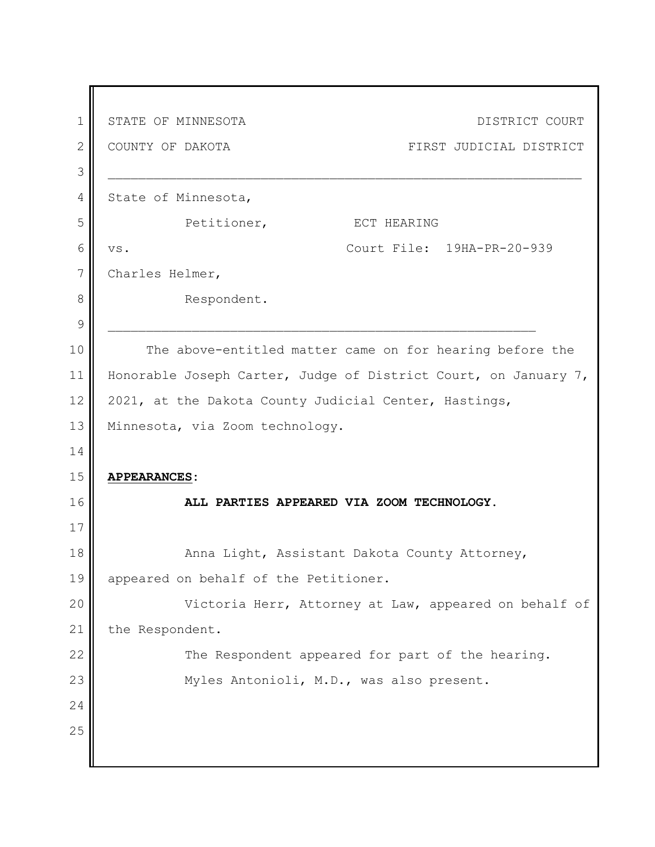| $\mathbf 1$   | STATE OF MINNESOTA<br>DISTRICT COURT                            |
|---------------|-----------------------------------------------------------------|
| $\mathbf{2}$  | COUNTY OF DAKOTA<br>FIRST JUDICIAL DISTRICT                     |
| 3             |                                                                 |
| 4             | State of Minnesota,                                             |
| 5             | Petitioner,<br>ECT HEARING                                      |
| 6             | Court File: 19HA-PR-20-939<br>VS.                               |
| 7             | Charles Helmer,                                                 |
| 8             | Respondent.                                                     |
| $\mathcal{G}$ |                                                                 |
| 10            | The above-entitled matter came on for hearing before the        |
| 11            | Honorable Joseph Carter, Judge of District Court, on January 7, |
| 12            | 2021, at the Dakota County Judicial Center, Hastings,           |
| 13            | Minnesota, via Zoom technology.                                 |
| 14            |                                                                 |
| 15            | <b>APPEARANCES:</b>                                             |
| 16            | ALL PARTIES APPEARED VIA ZOOM TECHNOLOGY.                       |
| 17            |                                                                 |
| 18            | Anna Light, Assistant Dakota County Attorney,                   |
| 19            | appeared on behalf of the Petitioner.                           |
| 20            | Victoria Herr, Attorney at Law, appeared on behalf of           |
| 21            | the Respondent.                                                 |
| 22            | The Respondent appeared for part of the hearing.                |
| 23            | Myles Antonioli, M.D., was also present.                        |
| 24            |                                                                 |
| 25            |                                                                 |
|               |                                                                 |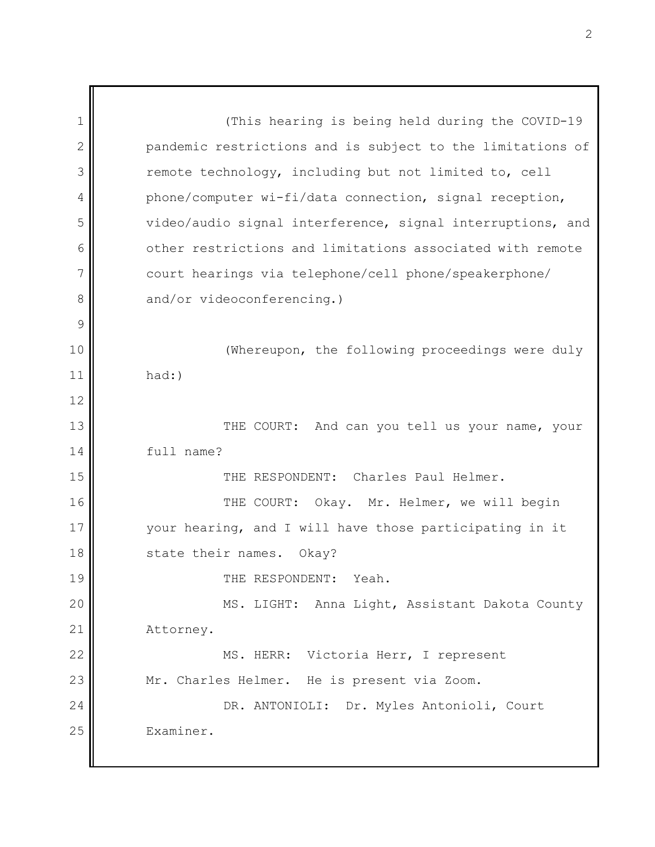1 2 3 4 5 6 7 8 9 10 11 12 13 14 15 16 17 18 19 20 21 22 23 24 25 (This hearing is being held during the COVID-19 pandemic restrictions and is subject to the limitations of remote technology, including but not limited to, cell phone/computer wi-fi/data connection, signal reception, video/audio signal interference, signal interruptions, and other restrictions and limitations associated with remote court hearings via telephone/cell phone/speakerphone/ and/or videoconferencing.) (Whereupon, the following proceedings were duly had:) THE COURT: And can you tell us your name, your full name? THE RESPONDENT: Charles Paul Helmer. THE COURT: Okay. Mr. Helmer, we will begin your hearing, and I will have those participating in it state their names. Okay? THE RESPONDENT: Yeah. MS. LIGHT: Anna Light, Assistant Dakota County Attorney. MS. HERR: Victoria Herr, I represent Mr. Charles Helmer. He is present via Zoom. DR. ANTONIOLI: Dr. Myles Antonioli, Court Examiner.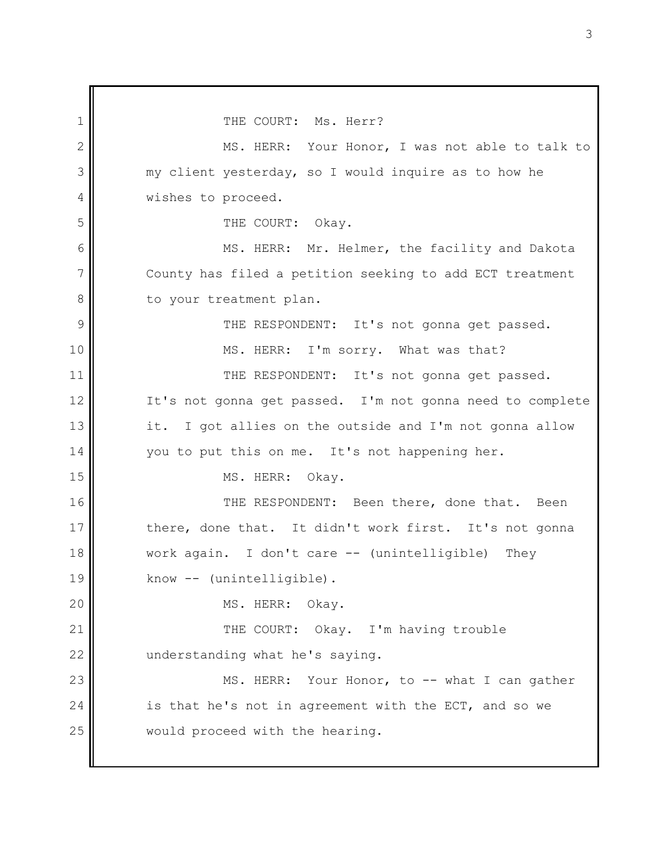1 2 3 4 5 6 7 8 9 10 11 12 13 14 15 16 17 18 19 20 21 22 23 24 25 THE COURT: Ms. Herr? MS. HERR: Your Honor, I was not able to talk to my client yesterday, so I would inquire as to how he wishes to proceed. THE COURT: Okay. MS. HERR: Mr. Helmer, the facility and Dakota County has filed a petition seeking to add ECT treatment to your treatment plan. THE RESPONDENT: It's not gonna get passed. MS. HERR: I'm sorry. What was that? THE RESPONDENT: It's not gonna get passed. It's not gonna get passed. I'm not gonna need to complete it. I got allies on the outside and I'm not gonna allow you to put this on me. It's not happening her. MS. HERR: Okay. THE RESPONDENT: Been there, done that. Been there, done that. It didn't work first. It's not gonna work again. I don't care -- (unintelligible) They know -- (unintelligible). MS. HERR: Okay. THE COURT: Okay. I'm having trouble understanding what he's saying. MS. HERR: Your Honor, to -- what I can gather is that he's not in agreement with the ECT, and so we would proceed with the hearing.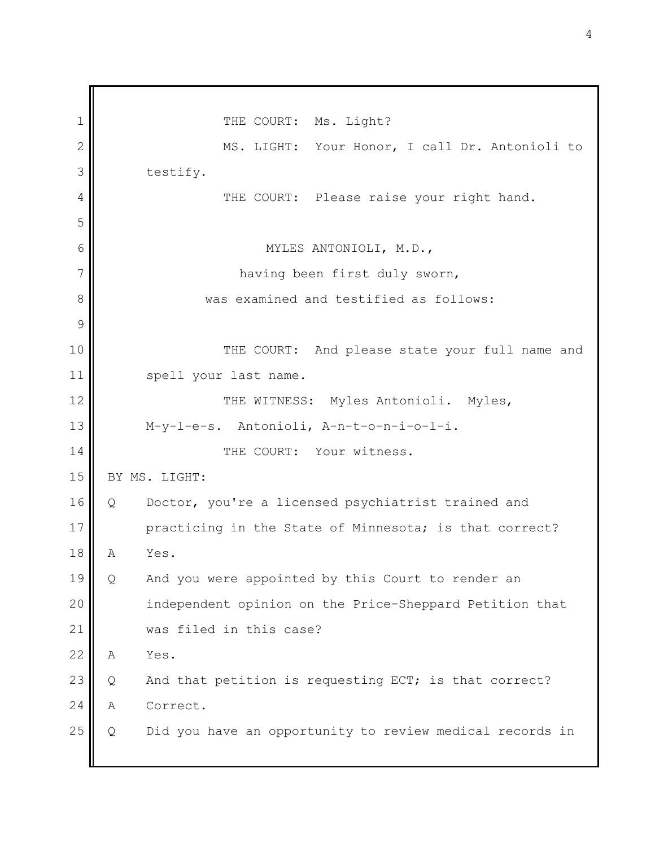1 2 3 4 5 6 7 8 9 10 11 12 13 14 15 16 17 18 19 20 21 22 23 24 25 THE COURT: Ms. Light? MS. LIGHT: Your Honor, I call Dr. Antonioli to testify. THE COURT: Please raise your right hand. MYLES ANTONIOLI, M.D., having been first duly sworn, was examined and testified as follows: THE COURT: And please state your full name and spell your last name. THE WITNESS: Myles Antonioli. Myles, M-y-l-e-s. Antonioli, A-n-t-o-n-i-o-l-i. THE COURT: Your witness. BY MS. LIGHT: Q Doctor, you're a licensed psychiatrist trained and practicing in the State of Minnesota; is that correct? A Yes. Q And you were appointed by this Court to render an independent opinion on the Price-Sheppard Petition that was filed in this case? A Yes. Q And that petition is requesting ECT; is that correct? A Correct. Q Did you have an opportunity to review medical records in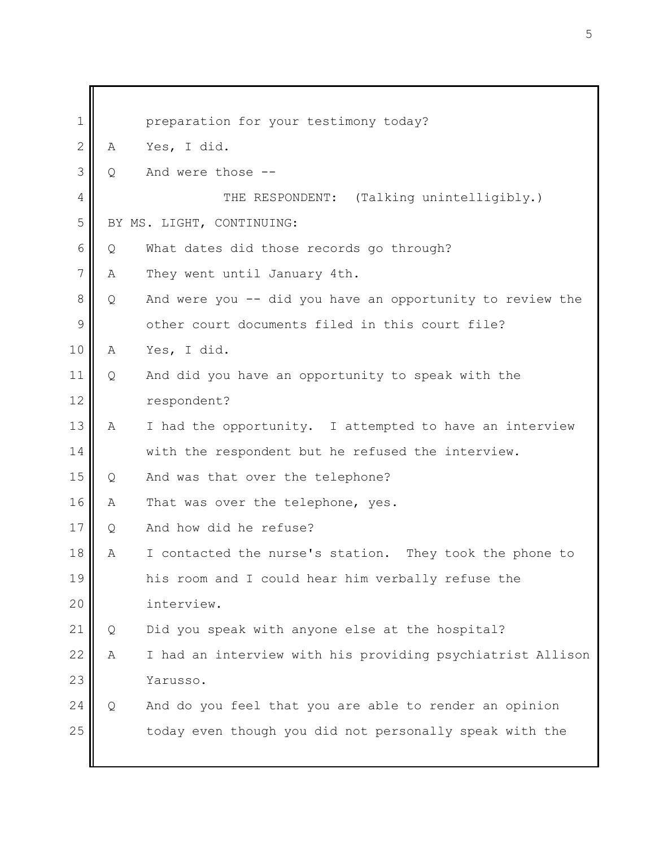| $\mathbf 1$   |                           | preparation for your testimony today?                      |
|---------------|---------------------------|------------------------------------------------------------|
| $\mathbf{2}$  | Α                         | Yes, I did.                                                |
| 3             | Q                         | And were those --                                          |
| 4             |                           | THE RESPONDENT: (Talking unintelligibly.)                  |
| 5             | BY MS. LIGHT, CONTINUING: |                                                            |
| 6             | Q                         | What dates did those records go through?                   |
| 7             | Α                         | They went until January 4th.                               |
| 8             | Q                         | And were you -- did you have an opportunity to review the  |
| $\mathcal{G}$ |                           | other court documents filed in this court file?            |
| 10            | Α                         | Yes, I did.                                                |
| 11            | Q                         | And did you have an opportunity to speak with the          |
| 12            |                           | respondent?                                                |
| 13            | Α                         | I had the opportunity. I attempted to have an interview    |
| 14            |                           | with the respondent but he refused the interview.          |
| 15            | Q                         | And was that over the telephone?                           |
| 16            | Α                         | That was over the telephone, yes.                          |
| 17            | Q                         | And how did he refuse?                                     |
| 18            | Α                         | I contacted the nurse's station. They took the phone to    |
| 19            |                           | his room and I could hear him verbally refuse the          |
| 20            |                           | interview.                                                 |
| 21            | Q                         | Did you speak with anyone else at the hospital?            |
| 22            | Α                         | I had an interview with his providing psychiatrist Allison |
| 23            |                           | Yarusso.                                                   |
| 24            | Q                         | And do you feel that you are able to render an opinion     |
| 25            |                           | today even though you did not personally speak with the    |
|               |                           |                                                            |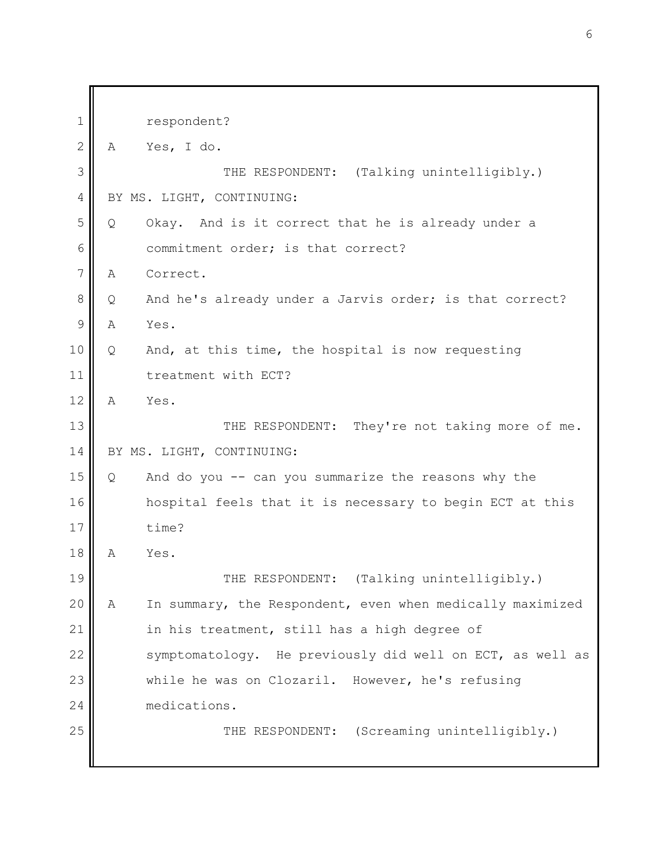| $\mathbf 1$    |   | respondent?                                               |
|----------------|---|-----------------------------------------------------------|
| $\mathbf{2}$   | A | Yes, I do.                                                |
| 3              |   | THE RESPONDENT: (Talking unintelligibly.)                 |
| $\overline{4}$ |   | BY MS. LIGHT, CONTINUING:                                 |
| 5              | Q | Okay. And is it correct that he is already under a        |
| 6              |   | commitment order; is that correct?                        |
| $\overline{7}$ | Α | Correct.                                                  |
| 8              | Q | And he's already under a Jarvis order; is that correct?   |
| 9              | Α | Yes.                                                      |
| 10             | Q | And, at this time, the hospital is now requesting         |
| 11             |   | treatment with ECT?                                       |
| 12             | A | Yes.                                                      |
| 13             |   | THE RESPONDENT: They're not taking more of me.            |
| 14             |   | BY MS. LIGHT, CONTINUING:                                 |
| 15             | Q | And do you -- can you summarize the reasons why the       |
| 16             |   | hospital feels that it is necessary to begin ECT at this  |
| 17             |   | time?                                                     |
| 18             | Α | Yes.                                                      |
| 19             |   | THE RESPONDENT: (Talking unintelligibly.)                 |
| 20             | A | In summary, the Respondent, even when medically maximized |
| 21             |   | in his treatment, still has a high degree of              |
| 22             |   | symptomatology. He previously did well on ECT, as well as |
| 23             |   | while he was on Clozaril. However, he's refusing          |
| 24             |   | medications.                                              |
| 25             |   | THE RESPONDENT: (Screaming unintelligibly.)               |
|                |   |                                                           |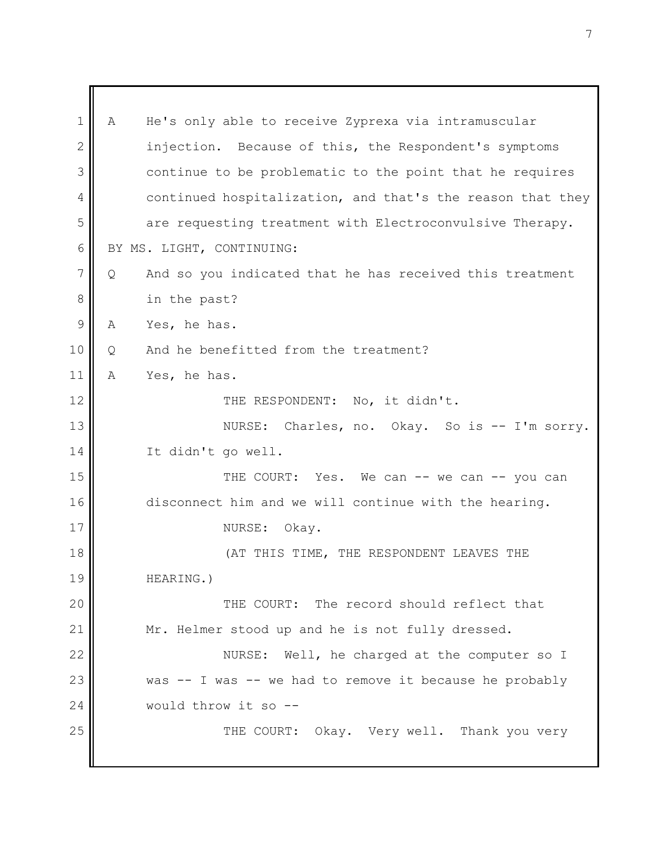1 2 3 4 5 6 7 8 9 10 11 12 13 14 15 16 17 18 19 20 21 22 23 24 25 A He's only able to receive Zyprexa via intramuscular injection. Because of this, the Respondent's symptoms continue to be problematic to the point that he requires continued hospitalization, and that's the reason that they are requesting treatment with Electroconvulsive Therapy. BY MS. LIGHT, CONTINUING: Q And so you indicated that he has received this treatment in the past? A Yes, he has. Q And he benefitted from the treatment? A Yes, he has. THE RESPONDENT: No, it didn't. NURSE: Charles, no. Okay. So is -- I'm sorry. It didn't go well. THE COURT: Yes. We can -- we can -- you can disconnect him and we will continue with the hearing. NURSE: Okay. (AT THIS TIME, THE RESPONDENT LEAVES THE HEARING.) THE COURT: The record should reflect that Mr. Helmer stood up and he is not fully dressed. NURSE: Well, he charged at the computer so I was -- I was -- we had to remove it because he probably would throw it so -- THE COURT: Okay. Very well. Thank you very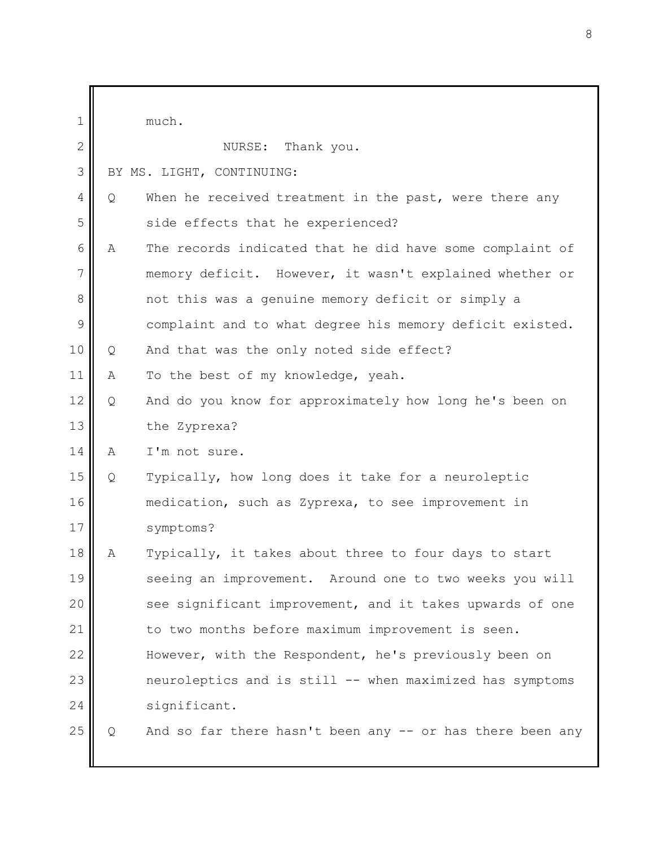| $\mathbf{1}$ |   | much.                                                     |
|--------------|---|-----------------------------------------------------------|
| $\mathbf{2}$ |   | NURSE: Thank you.                                         |
| 3            |   | BY MS. LIGHT, CONTINUING:                                 |
| 4            | Q | When he received treatment in the past, were there any    |
| 5            |   | side effects that he experienced?                         |
| 6            | Α | The records indicated that he did have some complaint of  |
| 7            |   | memory deficit. However, it wasn't explained whether or   |
| 8            |   | not this was a genuine memory deficit or simply a         |
| 9            |   | complaint and to what degree his memory deficit existed.  |
| 10           | Q | And that was the only noted side effect?                  |
| 11           | Α | To the best of my knowledge, yeah.                        |
| 12           | Q | And do you know for approximately how long he's been on   |
| 13           |   | the Zyprexa?                                              |
| 14           | Α | I'm not sure.                                             |
| 15           | Q | Typically, how long does it take for a neuroleptic        |
| 16           |   | medication, such as Zyprexa, to see improvement in        |
| 17           |   | symptoms?                                                 |
| 18           | Α | Typically, it takes about three to four days to start     |
| 19           |   | seeing an improvement. Around one to two weeks you will   |
| 20           |   | see significant improvement, and it takes upwards of one  |
| 21           |   | to two months before maximum improvement is seen.         |
| 22           |   | However, with the Respondent, he's previously been on     |
| 23           |   | neuroleptics and is still -- when maximized has symptoms  |
| 24           |   | significant.                                              |
| 25           | Q | And so far there hasn't been any -- or has there been any |
|              |   |                                                           |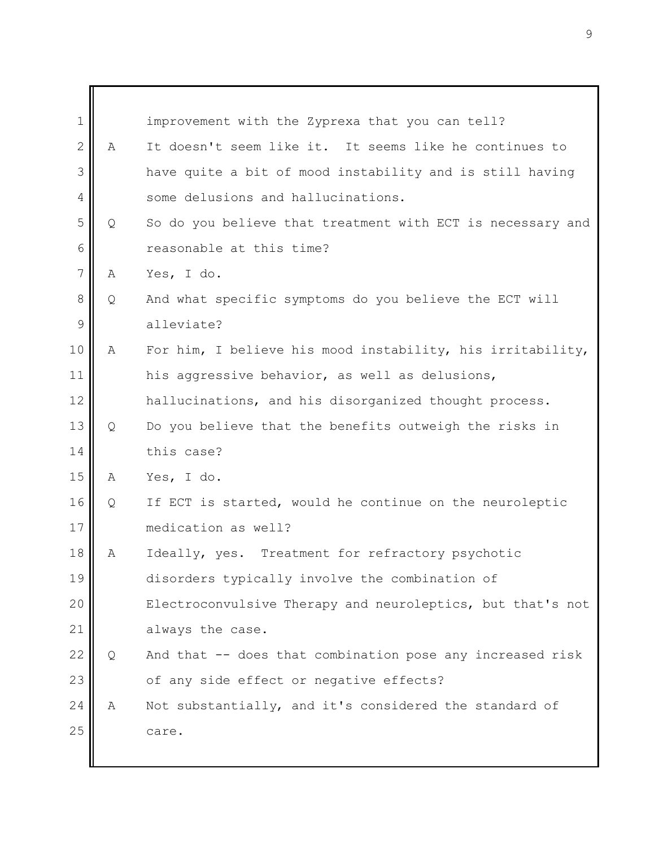| $\mathbf 1$    |   | improvement with the Zyprexa that you can tell?            |
|----------------|---|------------------------------------------------------------|
| $\mathbf{2}$   | A | It doesn't seem like it. It seems like he continues to     |
| 3              |   | have quite a bit of mood instability and is still having   |
| 4              |   | some delusions and hallucinations.                         |
| 5              | Q | So do you believe that treatment with ECT is necessary and |
| 6              |   | reasonable at this time?                                   |
| $\overline{7}$ | Α | Yes, I do.                                                 |
| 8              | Q | And what specific symptoms do you believe the ECT will     |
| 9              |   | alleviate?                                                 |
| 10             | Α | For him, I believe his mood instability, his irritability, |
| 11             |   | his aggressive behavior, as well as delusions,             |
| 12             |   | hallucinations, and his disorganized thought process.      |
| 13             | Q | Do you believe that the benefits outweigh the risks in     |
| 14             |   | this case?                                                 |
| 15             | Α | Yes, I do.                                                 |
| 16             | Q | If ECT is started, would he continue on the neuroleptic    |
| 17             |   | medication as well?                                        |
| 18             | Α | Ideally, yes. Treatment for refractory psychotic           |
| 19             |   | disorders typically involve the combination of             |
| 20             |   | Electroconvulsive Therapy and neuroleptics, but that's not |
| 21             |   | always the case.                                           |
| 22             | Q | And that -- does that combination pose any increased risk  |
| 23             |   | of any side effect or negative effects?                    |
| 24             | Α | Not substantially, and it's considered the standard of     |
| 25             |   | care.                                                      |
|                |   |                                                            |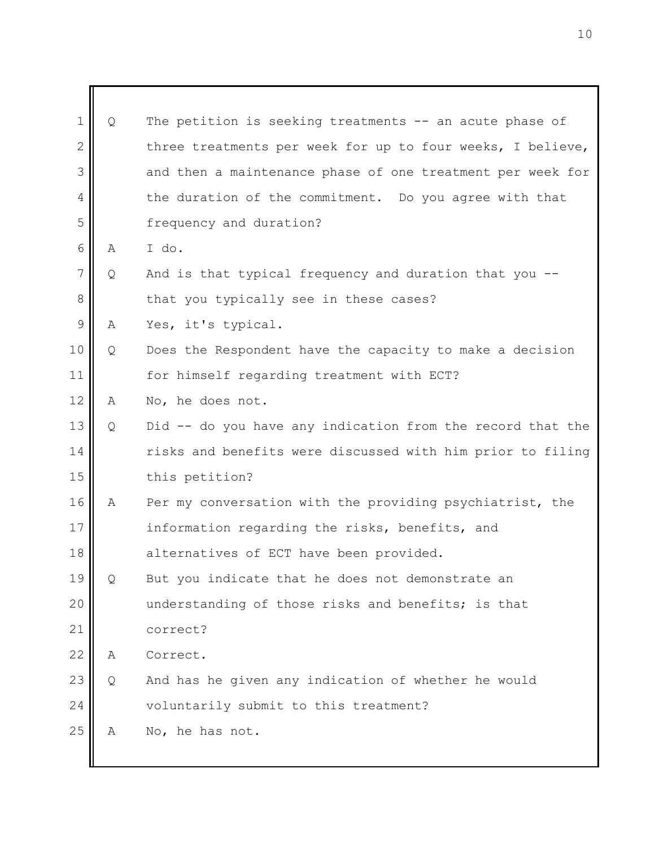| $\mathbf 1$    | Q | The petition is seeking treatments -- an acute phase of    |
|----------------|---|------------------------------------------------------------|
| $\mathbf{2}$   |   | three treatments per week for up to four weeks, I believe, |
| 3              |   | and then a maintenance phase of one treatment per week for |
| 4              |   | the duration of the commitment. Do you agree with that     |
| 5              |   | frequency and duration?                                    |
| 6              | Α | I do.                                                      |
| $\overline{7}$ | Q | And is that typical frequency and duration that you --     |
| 8              |   | that you typically see in these cases?                     |
| $\mathcal{G}$  | A | Yes, it's typical.                                         |
| $10$           | Q | Does the Respondent have the capacity to make a decision   |
| 11             |   | for himself regarding treatment with ECT?                  |
| 12             | Α | No, he does not.                                           |
| 13             | Q | Did -- do you have any indication from the record that the |
| 14             |   | risks and benefits were discussed with him prior to filing |
| 15             |   | this petition?                                             |
| 16             | Α | Per my conversation with the providing psychiatrist, the   |
| 17             |   | information regarding the risks, benefits, and             |
| 18             |   | alternatives of ECT have been provided.                    |
| 19             | Q | But you indicate that he does not demonstrate an           |
| 20             |   | understanding of those risks and benefits; is that         |
| 21             |   | correct?                                                   |
| 22             | A | Correct.                                                   |
| 23             | Q | And has he given any indication of whether he would        |
| 24             |   | voluntarily submit to this treatment?                      |
| 25             | Α | No, he has not.                                            |
|                |   |                                                            |

٦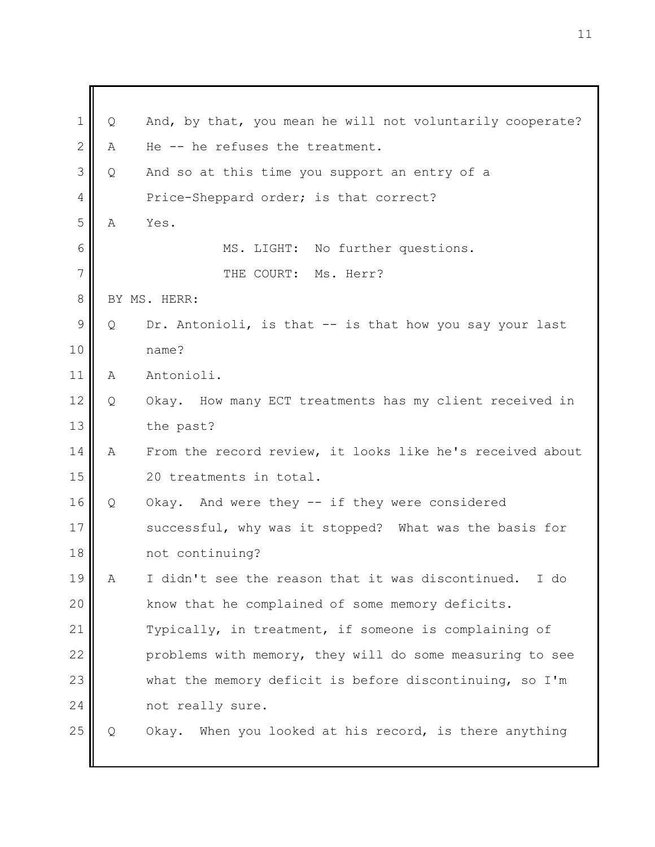1 2 3 4 5 6 7 8 9 10 11 12 13 14 15 16 17 18 19 20 21 22 23 24 25 Q And, by that, you mean he will not voluntarily cooperate? A He -- he refuses the treatment. Q And so at this time you support an entry of a Price-Sheppard order; is that correct? A Yes. MS. LIGHT: No further questions. THE COURT: Ms. Herr? BY MS. HERR: Q Dr. Antonioli, is that -- is that how you say your last name? A Antonioli. Q Okay. How many ECT treatments has my client received in the past? A From the record review, it looks like he's received about 20 treatments in total. Q Okay. And were they -- if they were considered successful, why was it stopped? What was the basis for not continuing? A I didn't see the reason that it was discontinued. I do know that he complained of some memory deficits. Typically, in treatment, if someone is complaining of problems with memory, they will do some measuring to see what the memory deficit is before discontinuing, so I'm not really sure. Q Okay. When you looked at his record, is there anything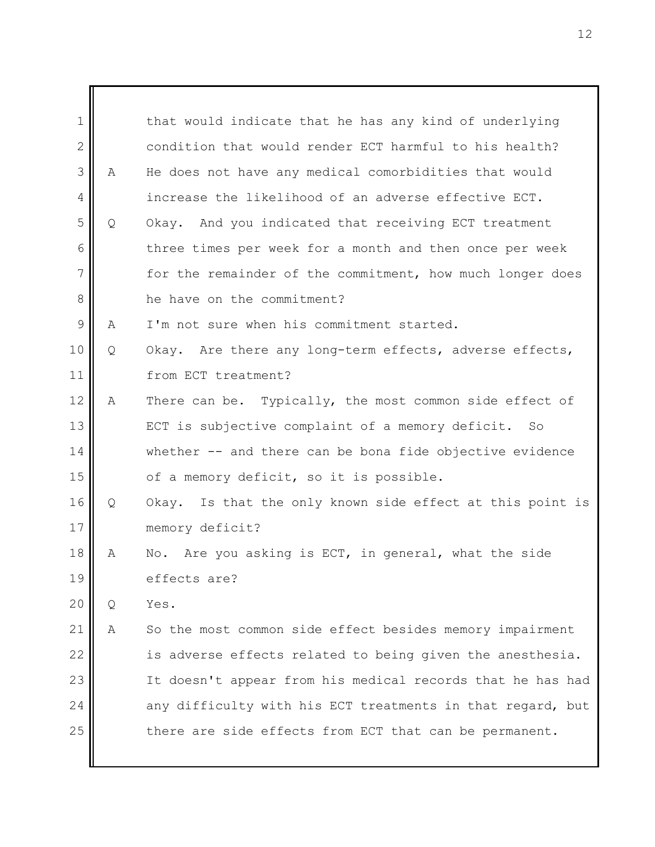| $\mathbf 1$    |   | that would indicate that he has any kind of underlying     |
|----------------|---|------------------------------------------------------------|
| $\mathbf{2}$   |   | condition that would render ECT harmful to his health?     |
| 3              | Α | He does not have any medical comorbidities that would      |
| $\overline{4}$ |   | increase the likelihood of an adverse effective ECT.       |
| 5              | Q | Okay. And you indicated that receiving ECT treatment       |
| 6              |   | three times per week for a month and then once per week    |
| 7              |   | for the remainder of the commitment, how much longer does  |
| 8              |   | he have on the commitment?                                 |
| 9              | Α | I'm not sure when his commitment started.                  |
| 10             | Q | Okay. Are there any long-term effects, adverse effects,    |
| 11             |   | from ECT treatment?                                        |
| 12             | Α | There can be. Typically, the most common side effect of    |
| 13             |   | ECT is subjective complaint of a memory deficit. So        |
| 14             |   | whether -- and there can be bona fide objective evidence   |
| 15             |   | of a memory deficit, so it is possible.                    |
| 16             | Q | Okay. Is that the only known side effect at this point is  |
| 17             |   | memory deficit?                                            |
| 18             | Α | No. Are you asking is ECT, in general, what the side       |
| 19             |   | effects are?                                               |
| 20             | Q | Yes.                                                       |
| 21             | Α | So the most common side effect besides memory impairment   |
| 22             |   | is adverse effects related to being given the anesthesia.  |
| 23             |   | It doesn't appear from his medical records that he has had |
| 24             |   | any difficulty with his ECT treatments in that regard, but |
| 25             |   | there are side effects from ECT that can be permanent.     |
|                |   |                                                            |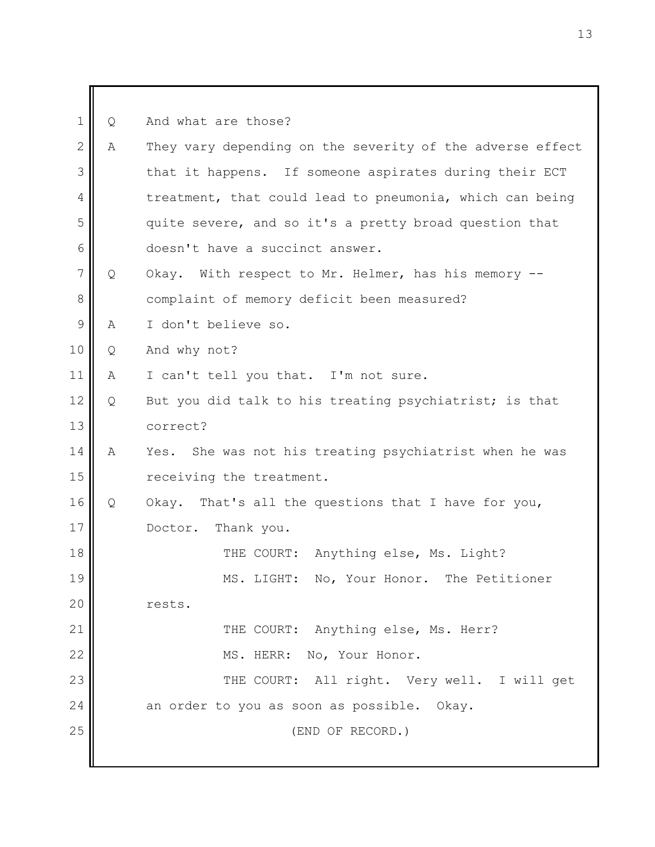1 2 3 4 5 6 7 8 9 10 11 12 13 14 15 16 17 18 19 20 21 22 23 24 25 Q And what are those? A They vary depending on the severity of the adverse effect that it happens. If someone aspirates during their ECT treatment, that could lead to pneumonia, which can being quite severe, and so it's a pretty broad question that doesn't have a succinct answer. Q Okay. With respect to Mr. Helmer, has his memory - complaint of memory deficit been measured? A I don't believe so. Q And why not? A I can't tell you that. I'm not sure. Q But you did talk to his treating psychiatrist; is that correct? A Yes. She was not his treating psychiatrist when he was receiving the treatment. Q Okay. That's all the questions that I have for you, Doctor. Thank you. THE COURT: Anything else, Ms. Light? MS. LIGHT: No, Your Honor. The Petitioner rests. THE COURT: Anything else, Ms. Herr? MS. HERR: No, Your Honor. THE COURT: All right. Very well. I will get an order to you as soon as possible. Okay. (END OF RECORD.)